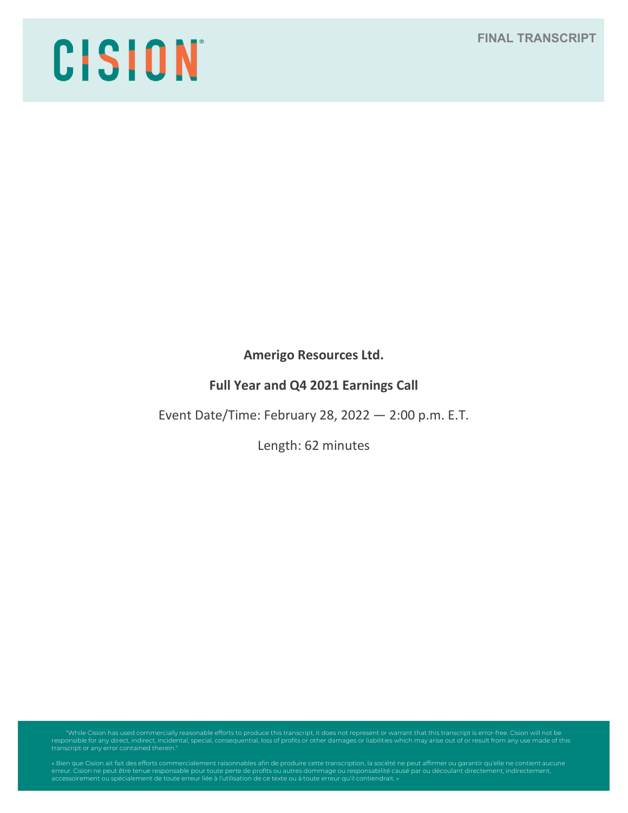## **FINAL TRANSCRIPT**

# CISION

**Amerigo Resources Ltd.**

# **Full Year and Q4 2021 Earnings Call**

Event Date/Time: February 28, 2022 — 2:00 p.m. E.T.

Length: 62 minutes

"While Cision has used commercially reasonable efforts to produce this transcript, it does not represent or warrant that this transcript is error-free. Cision will not be<br>responsible for any direct, indirect, incidental, s

erreur. Cision ne peut être tenue responsable pour toute perte de profits ou autres dommage ou responsabilité causé par ou découlant directement, indirectement,<br>accessoirement ou spécialement de toute erreur liée à l'utili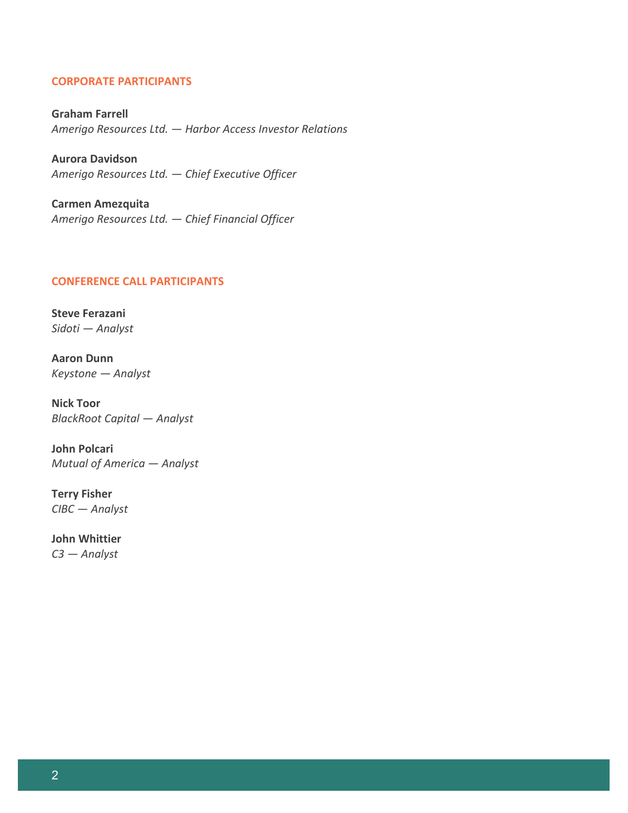## **CORPORATE PARTICIPANTS**

**Graham Farrell** *Amerigo Resources Ltd. — Harbor Access Investor Relations*

**Aurora Davidson** *Amerigo Resources Ltd. — Chief Executive Officer*

**Carmen Amezquita** *Amerigo Resources Ltd. — Chief Financial Officer*

#### **CONFERENCE CALL PARTICIPANTS**

**Steve Ferazani** *Sidoti — Analyst*

**Aaron Dunn** *Keystone — Analyst*

**Nick Toor** *BlackRoot Capital — Analyst*

**John Polcari** *Mutual of America — Analyst*

**Terry Fisher** *CIBC — Analyst*

**John Whittier** *C3 — Analyst*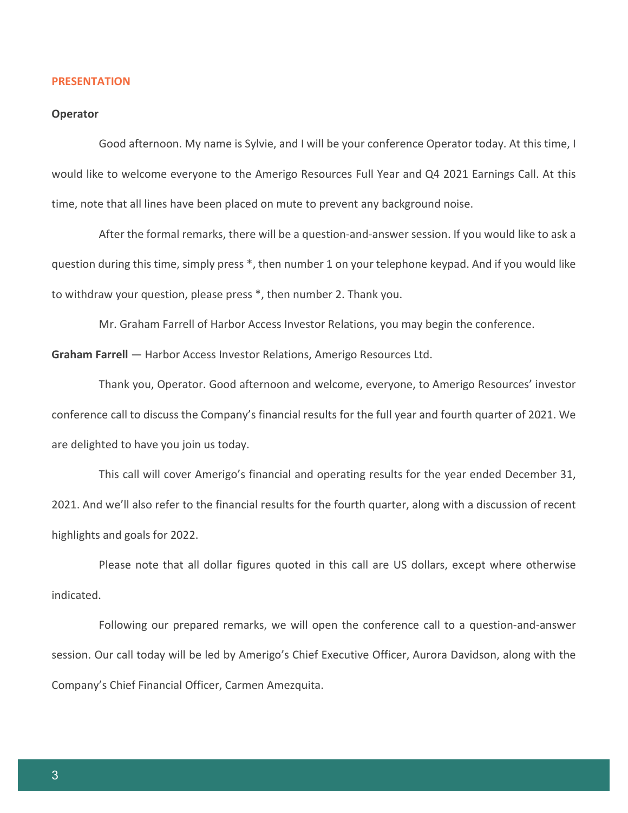#### **PRESENTATION**

#### **Operator**

Good afternoon. My name is Sylvie, and I will be your conference Operator today. At this time, I would like to welcome everyone to the Amerigo Resources Full Year and Q4 2021 Earnings Call. At this time, note that all lines have been placed on mute to prevent any background noise.

After the formal remarks, there will be a question-and-answer session. If you would like to ask a question during this time, simply press \*, then number 1 on your telephone keypad. And if you would like to withdraw your question, please press \*, then number 2. Thank you.

Mr. Graham Farrell of Harbor Access Investor Relations, you may begin the conference.

**Graham Farrell** — Harbor Access Investor Relations, Amerigo Resources Ltd.

Thank you, Operator. Good afternoon and welcome, everyone, to Amerigo Resources' investor conference call to discuss the Company's financial results for the full year and fourth quarter of 2021. We are delighted to have you join us today.

This call will cover Amerigo's financial and operating results for the year ended December 31, 2021. And we'll also refer to the financial results for the fourth quarter, along with a discussion of recent highlights and goals for 2022.

Please note that all dollar figures quoted in this call are US dollars, except where otherwise indicated.

Following our prepared remarks, we will open the conference call to a question-and-answer session. Our call today will be led by Amerigo's Chief Executive Officer, Aurora Davidson, along with the Company's Chief Financial Officer, Carmen Amezquita.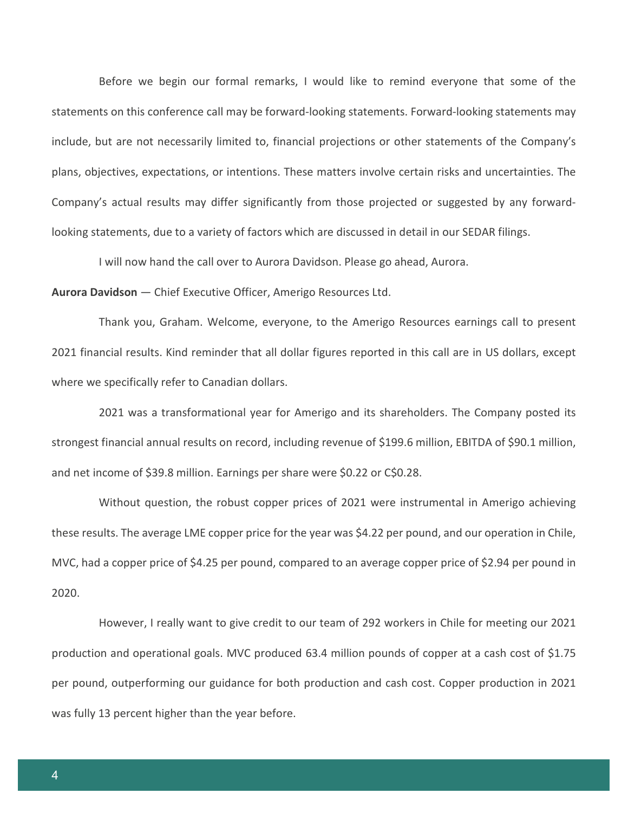Before we begin our formal remarks, I would like to remind everyone that some of the statements on this conference call may be forward-looking statements. Forward-looking statements may include, but are not necessarily limited to, financial projections or other statements of the Company's plans, objectives, expectations, or intentions. These matters involve certain risks and uncertainties. The Company's actual results may differ significantly from those projected or suggested by any forwardlooking statements, due to a variety of factors which are discussed in detail in our SEDAR filings.

I will now hand the call over to Aurora Davidson. Please go ahead, Aurora.

**Aurora Davidson** — Chief Executive Officer, Amerigo Resources Ltd.

Thank you, Graham. Welcome, everyone, to the Amerigo Resources earnings call to present 2021 financial results. Kind reminder that all dollar figures reported in this call are in US dollars, except where we specifically refer to Canadian dollars.

2021 was a transformational year for Amerigo and its shareholders. The Company posted its strongest financial annual results on record, including revenue of \$199.6 million, EBITDA of \$90.1 million, and net income of \$39.8 million. Earnings per share were \$0.22 or C\$0.28.

Without question, the robust copper prices of 2021 were instrumental in Amerigo achieving these results. The average LME copper price for the year was \$4.22 per pound, and our operation in Chile, MVC, had a copper price of \$4.25 per pound, compared to an average copper price of \$2.94 per pound in 2020.

However, I really want to give credit to our team of 292 workers in Chile for meeting our 2021 production and operational goals. MVC produced 63.4 million pounds of copper at a cash cost of \$1.75 per pound, outperforming our guidance for both production and cash cost. Copper production in 2021 was fully 13 percent higher than the year before.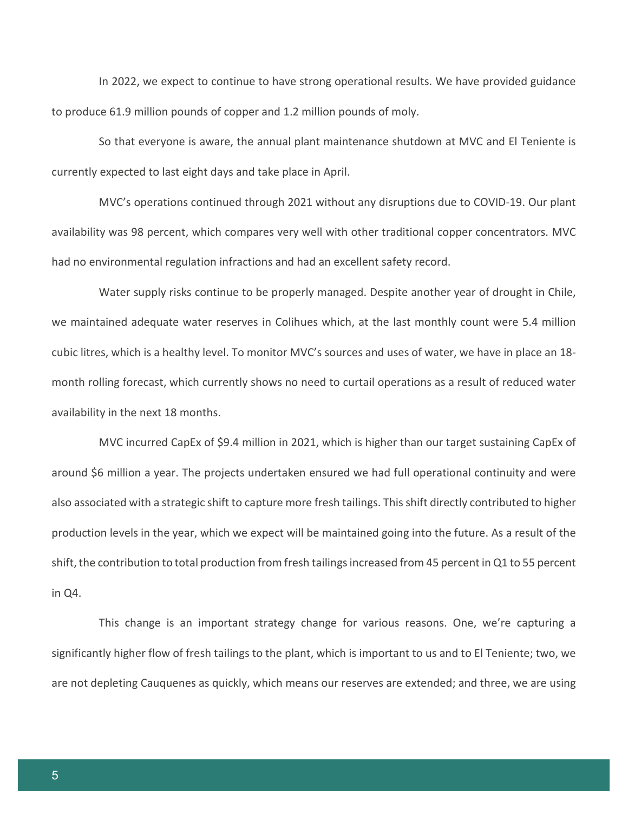In 2022, we expect to continue to have strong operational results. We have provided guidance to produce 61.9 million pounds of copper and 1.2 million pounds of moly.

So that everyone is aware, the annual plant maintenance shutdown at MVC and El Teniente is currently expected to last eight days and take place in April.

MVC's operations continued through 2021 without any disruptions due to COVID-19. Our plant availability was 98 percent, which compares very well with other traditional copper concentrators. MVC had no environmental regulation infractions and had an excellent safety record.

Water supply risks continue to be properly managed. Despite another year of drought in Chile, we maintained adequate water reserves in Colihues which, at the last monthly count were 5.4 million cubic litres, which is a healthy level. To monitor MVC's sources and uses of water, we have in place an 18 month rolling forecast, which currently shows no need to curtail operations as a result of reduced water availability in the next 18 months.

MVC incurred CapEx of \$9.4 million in 2021, which is higher than our target sustaining CapEx of around \$6 million a year. The projects undertaken ensured we had full operational continuity and were also associated with a strategic shift to capture more fresh tailings. This shift directly contributed to higher production levels in the year, which we expect will be maintained going into the future. As a result of the shift, the contribution to total production from fresh tailings increased from 45 percent in Q1 to 55 percent in Q4.

This change is an important strategy change for various reasons. One, we're capturing a significantly higher flow of fresh tailings to the plant, which is important to us and to El Teniente; two, we are not depleting Cauquenes as quickly, which means our reserves are extended; and three, we are using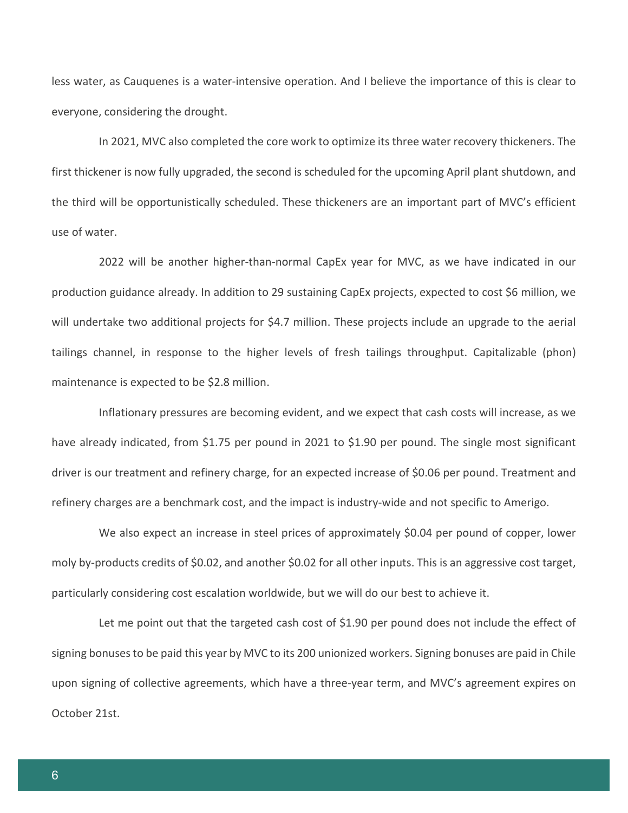less water, as Cauquenes is a water-intensive operation. And I believe the importance of this is clear to everyone, considering the drought.

In 2021, MVC also completed the core work to optimize its three water recovery thickeners. The first thickener is now fully upgraded, the second is scheduled for the upcoming April plant shutdown, and the third will be opportunistically scheduled. These thickeners are an important part of MVC's efficient use of water.

2022 will be another higher-than-normal CapEx year for MVC, as we have indicated in our production guidance already. In addition to 29 sustaining CapEx projects, expected to cost \$6 million, we will undertake two additional projects for \$4.7 million. These projects include an upgrade to the aerial tailings channel, in response to the higher levels of fresh tailings throughput. Capitalizable (phon) maintenance is expected to be \$2.8 million.

Inflationary pressures are becoming evident, and we expect that cash costs will increase, as we have already indicated, from \$1.75 per pound in 2021 to \$1.90 per pound. The single most significant driver is our treatment and refinery charge, for an expected increase of \$0.06 per pound. Treatment and refinery charges are a benchmark cost, and the impact is industry-wide and not specific to Amerigo.

We also expect an increase in steel prices of approximately \$0.04 per pound of copper, lower moly by-products credits of \$0.02, and another \$0.02 for all other inputs. This is an aggressive cost target, particularly considering cost escalation worldwide, but we will do our best to achieve it.

Let me point out that the targeted cash cost of \$1.90 per pound does not include the effect of signing bonuses to be paid this year by MVC to its 200 unionized workers. Signing bonuses are paid in Chile upon signing of collective agreements, which have a three-year term, and MVC's agreement expires on October 21st.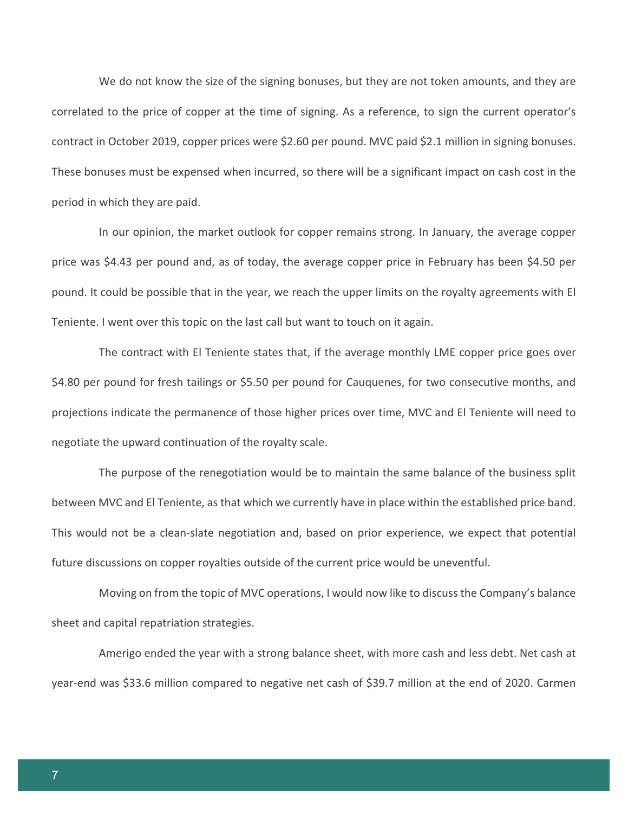We do not know the size of the signing bonuses, but they are not token amounts, and they are correlated to the price of copper at the time of signing. As a reference, to sign the current operator's contract in October 2019, copper prices were \$2.60 per pound. MVC paid \$2.1 million in signing bonuses. These bonuses must be expensed when incurred, so there will be a significant impact on cash cost in the period in which they are paid.

In our opinion, the market outlook for copper remains strong. In January, the average copper price was \$4.43 per pound and, as of today, the average copper price in February has been \$4.50 per pound. It could be possible that in the year, we reach the upper limits on the royalty agreements with El Teniente. I went over this topic on the last call but want to touch on it again.

The contract with El Teniente states that, if the average monthly LME copper price goes over \$4.80 per pound for fresh tailings or \$5.50 per pound for Cauquenes, for two consecutive months, and projections indicate the permanence of those higher prices over time, MVC and El Teniente will need to negotiate the upward continuation of the royalty scale.

The purpose of the renegotiation would be to maintain the same balance of the business split between MVC and El Teniente, as that which we currently have in place within the established price band. This would not be a clean-slate negotiation and, based on prior experience, we expect that potential future discussions on copper royalties outside of the current price would be uneventful.

Moving on from the topic of MVC operations, I would now like to discuss the Company's balance sheet and capital repatriation strategies.

Amerigo ended the year with a strong balance sheet, with more cash and less debt. Net cash at year-end was \$33.6 million compared to negative net cash of \$39.7 million at the end of 2020. Carmen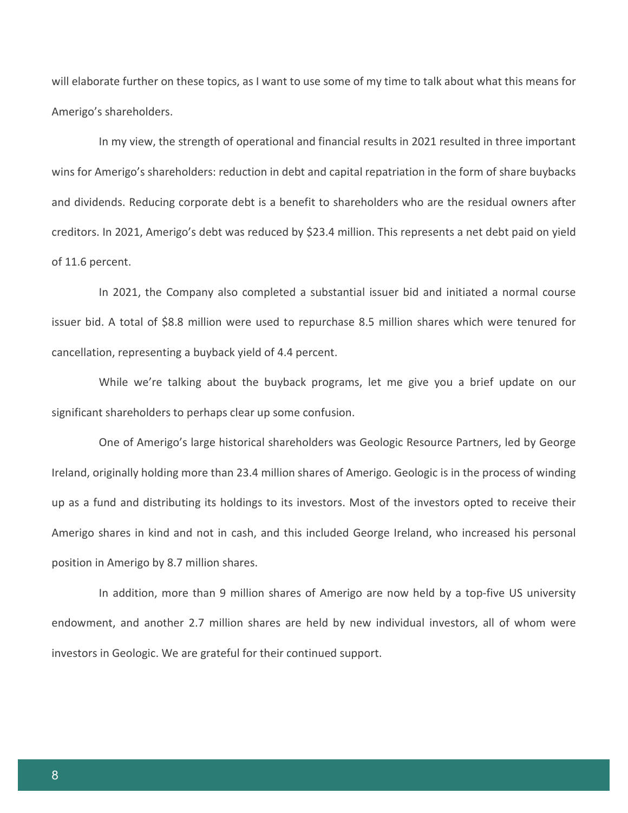will elaborate further on these topics, as I want to use some of my time to talk about what this means for Amerigo's shareholders.

In my view, the strength of operational and financial results in 2021 resulted in three important wins for Amerigo's shareholders: reduction in debt and capital repatriation in the form of share buybacks and dividends. Reducing corporate debt is a benefit to shareholders who are the residual owners after creditors. In 2021, Amerigo's debt was reduced by \$23.4 million. This represents a net debt paid on yield of 11.6 percent.

In 2021, the Company also completed a substantial issuer bid and initiated a normal course issuer bid. A total of \$8.8 million were used to repurchase 8.5 million shares which were tenured for cancellation, representing a buyback yield of 4.4 percent.

While we're talking about the buyback programs, let me give you a brief update on our significant shareholders to perhaps clear up some confusion.

One of Amerigo's large historical shareholders was Geologic Resource Partners, led by George Ireland, originally holding more than 23.4 million shares of Amerigo. Geologic is in the process of winding up as a fund and distributing its holdings to its investors. Most of the investors opted to receive their Amerigo shares in kind and not in cash, and this included George Ireland, who increased his personal position in Amerigo by 8.7 million shares.

In addition, more than 9 million shares of Amerigo are now held by a top-five US university endowment, and another 2.7 million shares are held by new individual investors, all of whom were investors in Geologic. We are grateful for their continued support.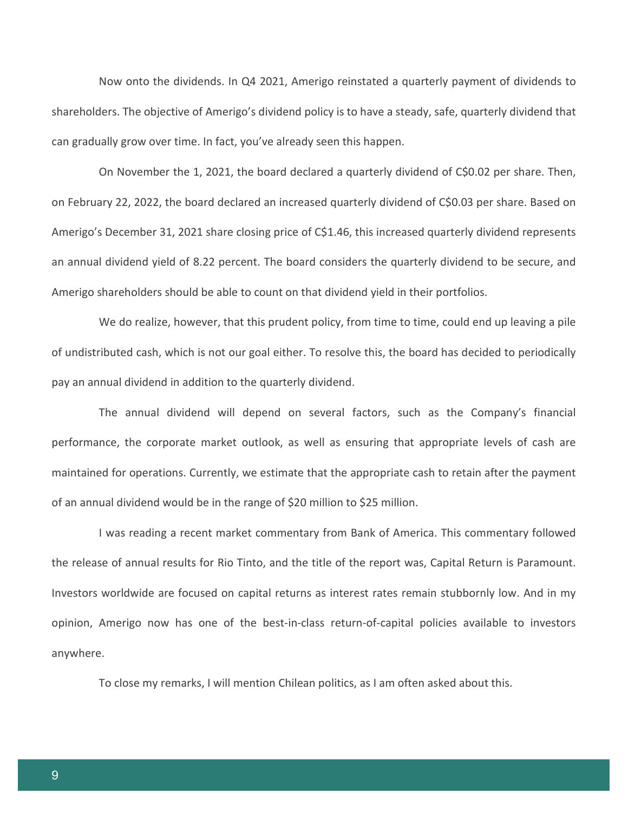Now onto the dividends. In Q4 2021, Amerigo reinstated a quarterly payment of dividends to shareholders. The objective of Amerigo's dividend policy is to have a steady, safe, quarterly dividend that can gradually grow over time. In fact, you've already seen this happen.

On November the 1, 2021, the board declared a quarterly dividend of C\$0.02 per share. Then, on February 22, 2022, the board declared an increased quarterly dividend of C\$0.03 per share. Based on Amerigo's December 31, 2021 share closing price of C\$1.46, this increased quarterly dividend represents an annual dividend yield of 8.22 percent. The board considers the quarterly dividend to be secure, and Amerigo shareholders should be able to count on that dividend yield in their portfolios.

We do realize, however, that this prudent policy, from time to time, could end up leaving a pile of undistributed cash, which is not our goal either. To resolve this, the board has decided to periodically pay an annual dividend in addition to the quarterly dividend.

The annual dividend will depend on several factors, such as the Company's financial performance, the corporate market outlook, as well as ensuring that appropriate levels of cash are maintained for operations. Currently, we estimate that the appropriate cash to retain after the payment of an annual dividend would be in the range of \$20 million to \$25 million.

I was reading a recent market commentary from Bank of America. This commentary followed the release of annual results for Rio Tinto, and the title of the report was, Capital Return is Paramount. Investors worldwide are focused on capital returns as interest rates remain stubbornly low. And in my opinion, Amerigo now has one of the best-in-class return-of-capital policies available to investors anywhere.

To close my remarks, I will mention Chilean politics, as I am often asked about this.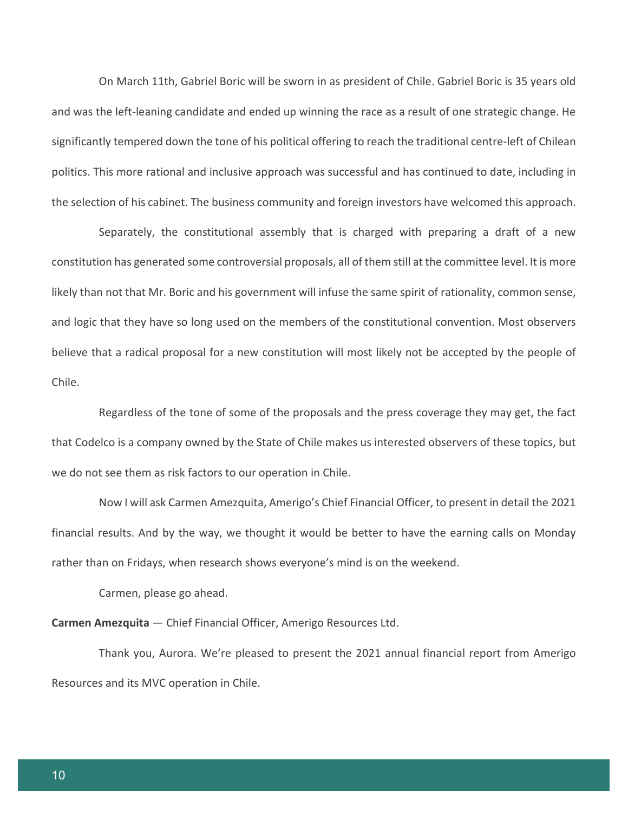On March 11th, Gabriel Boric will be sworn in as president of Chile. Gabriel Boric is 35 years old and was the left-leaning candidate and ended up winning the race as a result of one strategic change. He significantly tempered down the tone of his political offering to reach the traditional centre-left of Chilean politics. This more rational and inclusive approach was successful and has continued to date, including in the selection of his cabinet. The business community and foreign investors have welcomed this approach.

Separately, the constitutional assembly that is charged with preparing a draft of a new constitution has generated some controversial proposals, all of them still at the committee level. It is more likely than not that Mr. Boric and his government will infuse the same spirit of rationality, common sense, and logic that they have so long used on the members of the constitutional convention. Most observers believe that a radical proposal for a new constitution will most likely not be accepted by the people of Chile.

Regardless of the tone of some of the proposals and the press coverage they may get, the fact that Codelco is a company owned by the State of Chile makes us interested observers of these topics, but we do not see them as risk factors to our operation in Chile.

Now I will ask Carmen Amezquita, Amerigo's Chief Financial Officer, to present in detail the 2021 financial results. And by the way, we thought it would be better to have the earning calls on Monday rather than on Fridays, when research shows everyone's mind is on the weekend.

Carmen, please go ahead.

**Carmen Amezquita** — Chief Financial Officer, Amerigo Resources Ltd.

Thank you, Aurora. We're pleased to present the 2021 annual financial report from Amerigo Resources and its MVC operation in Chile.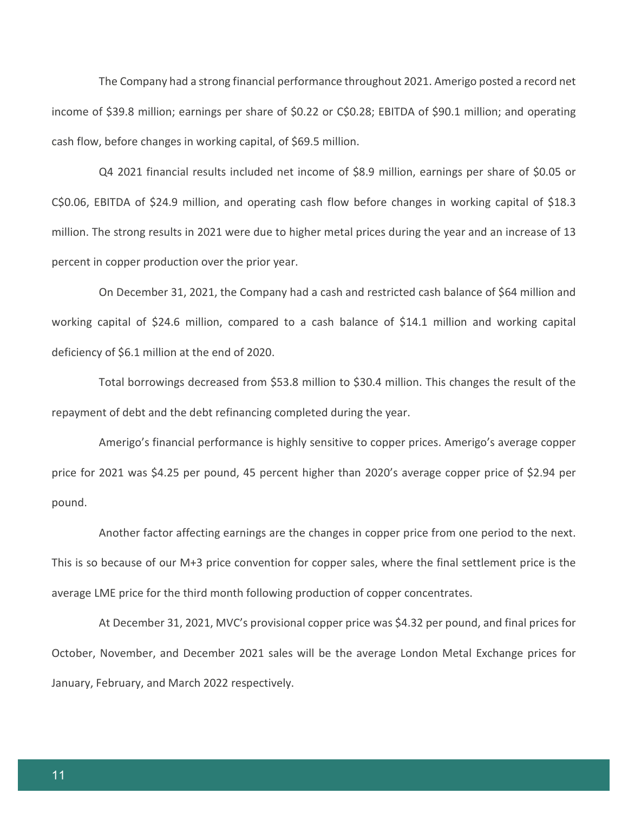The Company had a strong financial performance throughout 2021. Amerigo posted a record net income of \$39.8 million; earnings per share of \$0.22 or C\$0.28; EBITDA of \$90.1 million; and operating cash flow, before changes in working capital, of \$69.5 million.

Q4 2021 financial results included net income of \$8.9 million, earnings per share of \$0.05 or C\$0.06, EBITDA of \$24.9 million, and operating cash flow before changes in working capital of \$18.3 million. The strong results in 2021 were due to higher metal prices during the year and an increase of 13 percent in copper production over the prior year.

On December 31, 2021, the Company had a cash and restricted cash balance of \$64 million and working capital of \$24.6 million, compared to a cash balance of \$14.1 million and working capital deficiency of \$6.1 million at the end of 2020.

Total borrowings decreased from \$53.8 million to \$30.4 million. This changes the result of the repayment of debt and the debt refinancing completed during the year.

Amerigo's financial performance is highly sensitive to copper prices. Amerigo's average copper price for 2021 was \$4.25 per pound, 45 percent higher than 2020's average copper price of \$2.94 per pound.

Another factor affecting earnings are the changes in copper price from one period to the next. This is so because of our M+3 price convention for copper sales, where the final settlement price is the average LME price for the third month following production of copper concentrates.

At December 31, 2021, MVC's provisional copper price was \$4.32 per pound, and final prices for October, November, and December 2021 sales will be the average London Metal Exchange prices for January, February, and March 2022 respectively.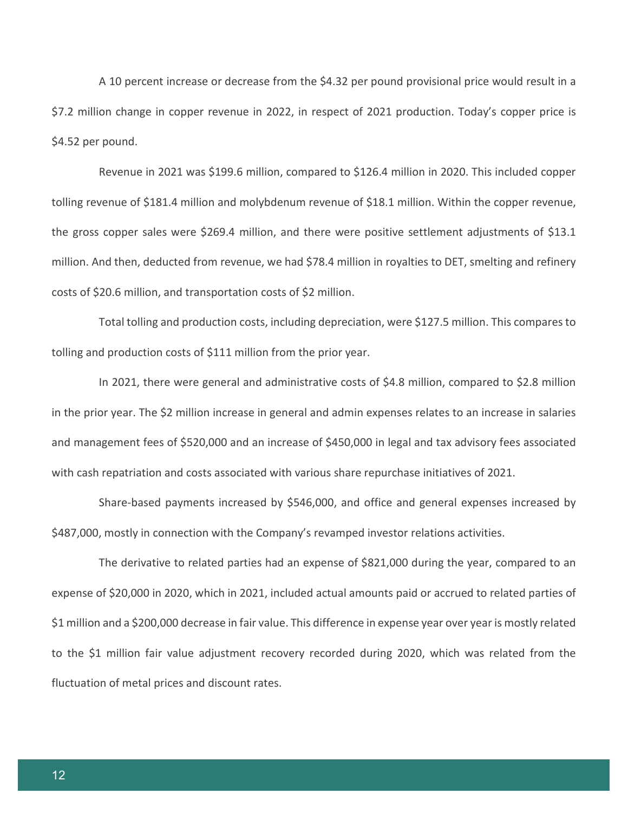A 10 percent increase or decrease from the \$4.32 per pound provisional price would result in a \$7.2 million change in copper revenue in 2022, in respect of 2021 production. Today's copper price is \$4.52 per pound.

Revenue in 2021 was \$199.6 million, compared to \$126.4 million in 2020. This included copper tolling revenue of \$181.4 million and molybdenum revenue of \$18.1 million. Within the copper revenue, the gross copper sales were \$269.4 million, and there were positive settlement adjustments of \$13.1 million. And then, deducted from revenue, we had \$78.4 million in royalties to DET, smelting and refinery costs of \$20.6 million, and transportation costs of \$2 million.

Total tolling and production costs, including depreciation, were \$127.5 million. This compares to tolling and production costs of \$111 million from the prior year.

In 2021, there were general and administrative costs of \$4.8 million, compared to \$2.8 million in the prior year. The \$2 million increase in general and admin expenses relates to an increase in salaries and management fees of \$520,000 and an increase of \$450,000 in legal and tax advisory fees associated with cash repatriation and costs associated with various share repurchase initiatives of 2021.

Share-based payments increased by \$546,000, and office and general expenses increased by \$487,000, mostly in connection with the Company's revamped investor relations activities.

The derivative to related parties had an expense of \$821,000 during the year, compared to an expense of \$20,000 in 2020, which in 2021, included actual amounts paid or accrued to related parties of \$1 million and a \$200,000 decrease in fair value. This difference in expense year over year is mostly related to the \$1 million fair value adjustment recovery recorded during 2020, which was related from the fluctuation of metal prices and discount rates.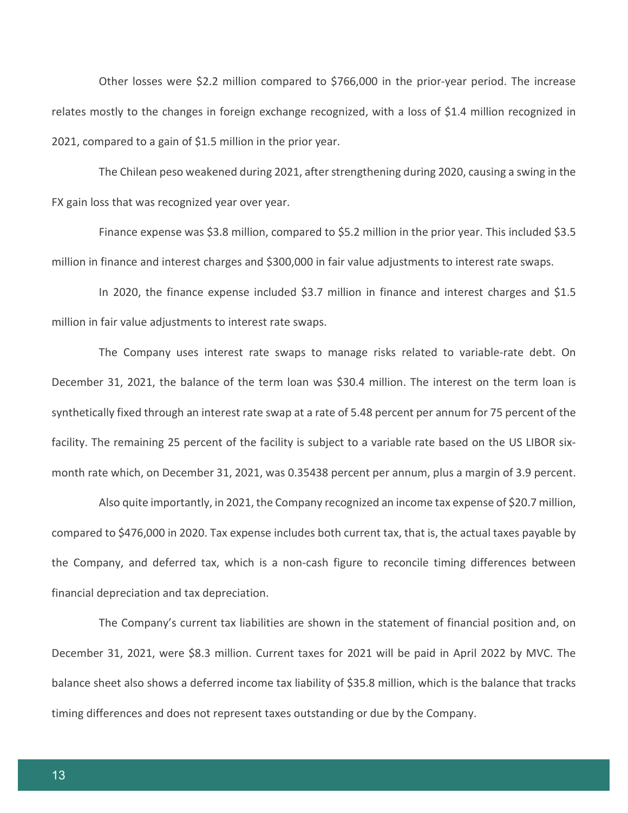Other losses were \$2.2 million compared to \$766,000 in the prior-year period. The increase relates mostly to the changes in foreign exchange recognized, with a loss of \$1.4 million recognized in 2021, compared to a gain of \$1.5 million in the prior year.

The Chilean peso weakened during 2021, after strengthening during 2020, causing a swing in the FX gain loss that was recognized year over year.

Finance expense was \$3.8 million, compared to \$5.2 million in the prior year. This included \$3.5 million in finance and interest charges and \$300,000 in fair value adjustments to interest rate swaps.

In 2020, the finance expense included \$3.7 million in finance and interest charges and \$1.5 million in fair value adjustments to interest rate swaps.

The Company uses interest rate swaps to manage risks related to variable-rate debt. On December 31, 2021, the balance of the term loan was \$30.4 million. The interest on the term loan is synthetically fixed through an interest rate swap at a rate of 5.48 percent per annum for 75 percent of the facility. The remaining 25 percent of the facility is subject to a variable rate based on the US LIBOR sixmonth rate which, on December 31, 2021, was 0.35438 percent per annum, plus a margin of 3.9 percent.

Also quite importantly, in 2021, the Company recognized an income tax expense of \$20.7 million, compared to \$476,000 in 2020. Tax expense includes both current tax, that is, the actual taxes payable by the Company, and deferred tax, which is a non-cash figure to reconcile timing differences between financial depreciation and tax depreciation.

The Company's current tax liabilities are shown in the statement of financial position and, on December 31, 2021, were \$8.3 million. Current taxes for 2021 will be paid in April 2022 by MVC. The balance sheet also shows a deferred income tax liability of \$35.8 million, which is the balance that tracks timing differences and does not represent taxes outstanding or due by the Company.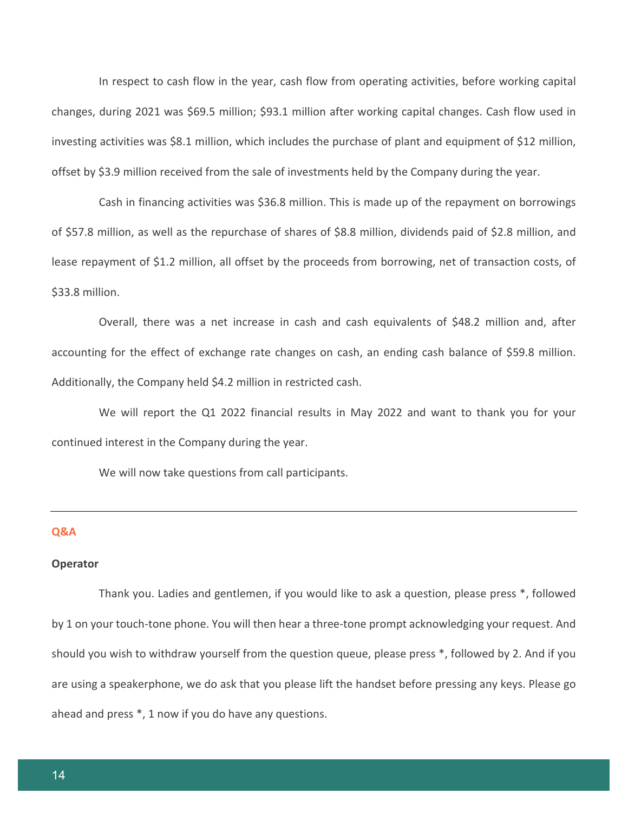In respect to cash flow in the year, cash flow from operating activities, before working capital changes, during 2021 was \$69.5 million; \$93.1 million after working capital changes. Cash flow used in investing activities was \$8.1 million, which includes the purchase of plant and equipment of \$12 million, offset by \$3.9 million received from the sale of investments held by the Company during the year.

Cash in financing activities was \$36.8 million. This is made up of the repayment on borrowings of \$57.8 million, as well as the repurchase of shares of \$8.8 million, dividends paid of \$2.8 million, and lease repayment of \$1.2 million, all offset by the proceeds from borrowing, net of transaction costs, of \$33.8 million.

Overall, there was a net increase in cash and cash equivalents of \$48.2 million and, after accounting for the effect of exchange rate changes on cash, an ending cash balance of \$59.8 million. Additionally, the Company held \$4.2 million in restricted cash.

We will report the Q1 2022 financial results in May 2022 and want to thank you for your continued interest in the Company during the year.

We will now take questions from call participants.

#### **Q&A**

#### **Operator**

Thank you. Ladies and gentlemen, if you would like to ask a question, please press \*, followed by 1 on your touch-tone phone. You will then hear a three-tone prompt acknowledging your request. And should you wish to withdraw yourself from the question queue, please press \*, followed by 2. And if you are using a speakerphone, we do ask that you please lift the handset before pressing any keys. Please go ahead and press \*, 1 now if you do have any questions.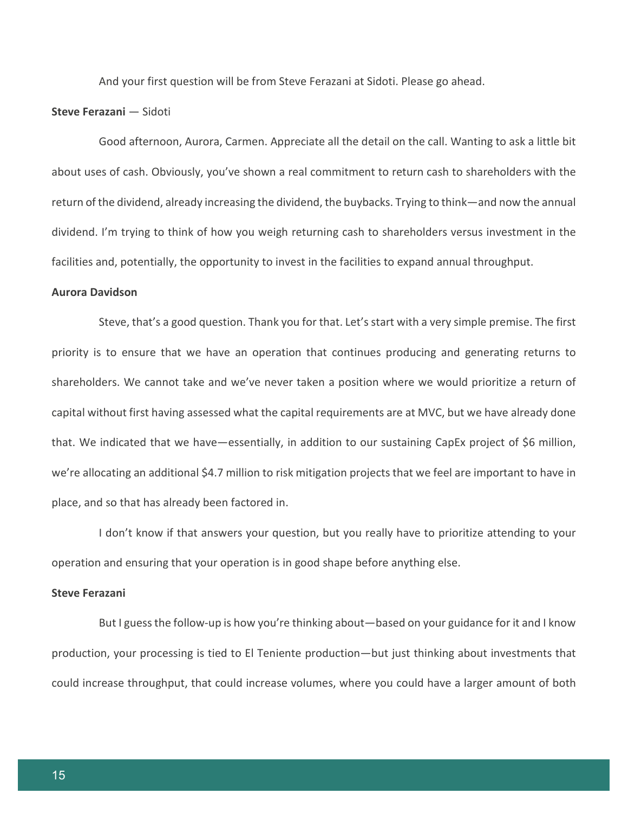And your first question will be from Steve Ferazani at Sidoti. Please go ahead.

#### **Steve Ferazani** — Sidoti

Good afternoon, Aurora, Carmen. Appreciate all the detail on the call. Wanting to ask a little bit about uses of cash. Obviously, you've shown a real commitment to return cash to shareholders with the return of the dividend, already increasing the dividend, the buybacks. Trying to think—and now the annual dividend. I'm trying to think of how you weigh returning cash to shareholders versus investment in the facilities and, potentially, the opportunity to invest in the facilities to expand annual throughput.

#### **Aurora Davidson**

Steve, that's a good question. Thank you for that. Let's start with a very simple premise. The first priority is to ensure that we have an operation that continues producing and generating returns to shareholders. We cannot take and we've never taken a position where we would prioritize a return of capital without first having assessed what the capital requirements are at MVC, but we have already done that. We indicated that we have—essentially, in addition to our sustaining CapEx project of \$6 million, we're allocating an additional \$4.7 million to risk mitigation projects that we feel are important to have in place, and so that has already been factored in.

I don't know if that answers your question, but you really have to prioritize attending to your operation and ensuring that your operation is in good shape before anything else.

## **Steve Ferazani**

But I guess the follow-up is how you're thinking about—based on your guidance for it and I know production, your processing is tied to El Teniente production—but just thinking about investments that could increase throughput, that could increase volumes, where you could have a larger amount of both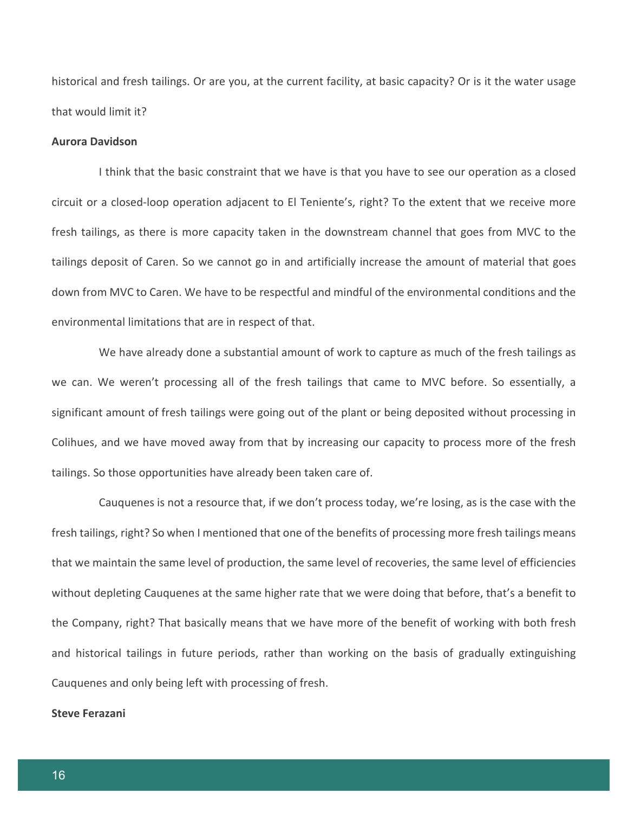historical and fresh tailings. Or are you, at the current facility, at basic capacity? Or is it the water usage that would limit it?

#### **Aurora Davidson**

I think that the basic constraint that we have is that you have to see our operation as a closed circuit or a closed-loop operation adjacent to El Teniente's, right? To the extent that we receive more fresh tailings, as there is more capacity taken in the downstream channel that goes from MVC to the tailings deposit of Caren. So we cannot go in and artificially increase the amount of material that goes down from MVC to Caren. We have to be respectful and mindful of the environmental conditions and the environmental limitations that are in respect of that.

We have already done a substantial amount of work to capture as much of the fresh tailings as we can. We weren't processing all of the fresh tailings that came to MVC before. So essentially, a significant amount of fresh tailings were going out of the plant or being deposited without processing in Colihues, and we have moved away from that by increasing our capacity to process more of the fresh tailings. So those opportunities have already been taken care of.

Cauquenes is not a resource that, if we don't process today, we're losing, as is the case with the fresh tailings, right? So when I mentioned that one of the benefits of processing more fresh tailings means that we maintain the same level of production, the same level of recoveries, the same level of efficiencies without depleting Cauquenes at the same higher rate that we were doing that before, that's a benefit to the Company, right? That basically means that we have more of the benefit of working with both fresh and historical tailings in future periods, rather than working on the basis of gradually extinguishing Cauquenes and only being left with processing of fresh.

#### **Steve Ferazani**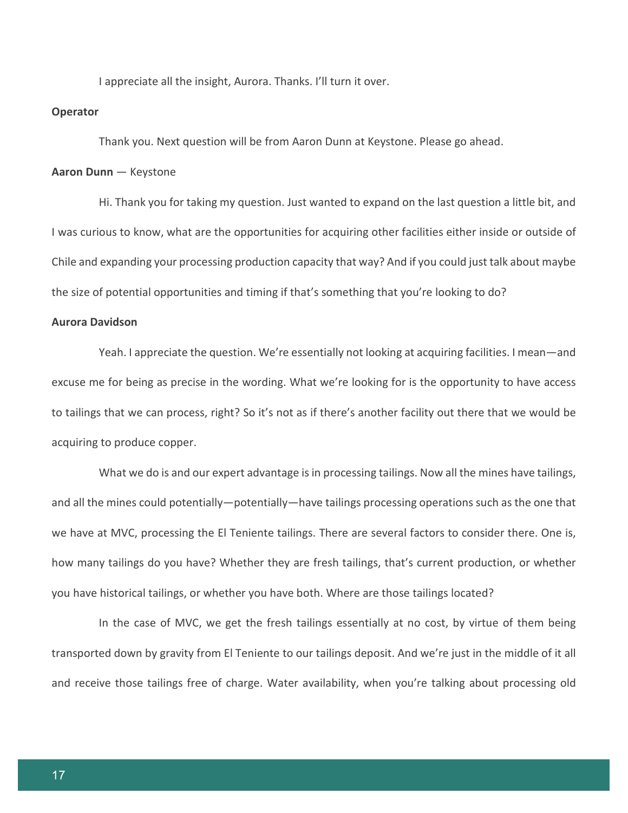I appreciate all the insight, Aurora. Thanks. I'll turn it over.

#### **Operator**

Thank you. Next question will be from Aaron Dunn at Keystone. Please go ahead.

## **Aaron Dunn** — Keystone

Hi. Thank you for taking my question. Just wanted to expand on the last question a little bit, and I was curious to know, what are the opportunities for acquiring other facilities either inside or outside of Chile and expanding your processing production capacity that way? And if you could just talk about maybe the size of potential opportunities and timing if that's something that you're looking to do?

#### **Aurora Davidson**

Yeah. I appreciate the question. We're essentially not looking at acquiring facilities. I mean—and excuse me for being as precise in the wording. What we're looking for is the opportunity to have access to tailings that we can process, right? So it's not as if there's another facility out there that we would be acquiring to produce copper.

What we do is and our expert advantage is in processing tailings. Now all the mines have tailings, and all the mines could potentially—potentially—have tailings processing operations such as the one that we have at MVC, processing the El Teniente tailings. There are several factors to consider there. One is, how many tailings do you have? Whether they are fresh tailings, that's current production, or whether you have historical tailings, or whether you have both. Where are those tailings located?

In the case of MVC, we get the fresh tailings essentially at no cost, by virtue of them being transported down by gravity from El Teniente to our tailings deposit. And we're just in the middle of it all and receive those tailings free of charge. Water availability, when you're talking about processing old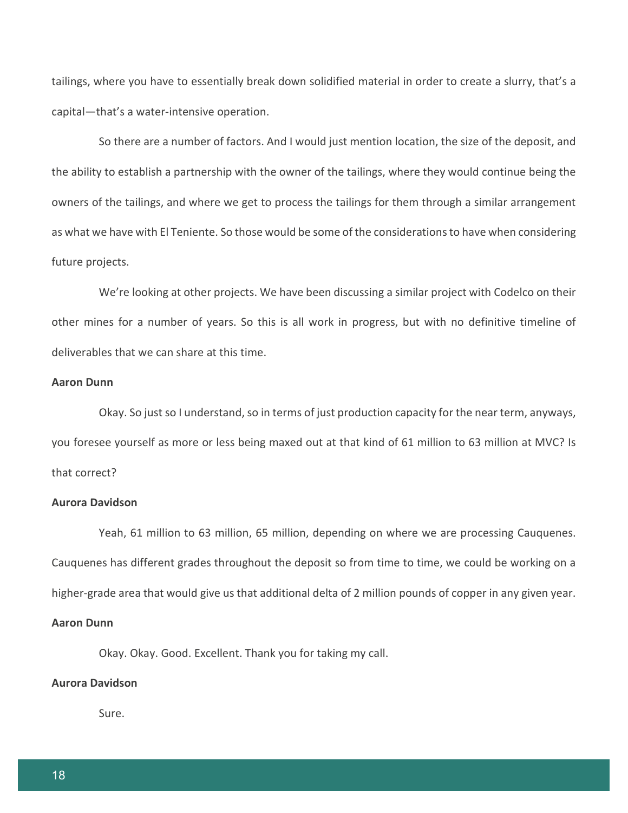tailings, where you have to essentially break down solidified material in order to create a slurry, that's a capital—that's a water-intensive operation.

So there are a number of factors. And I would just mention location, the size of the deposit, and the ability to establish a partnership with the owner of the tailings, where they would continue being the owners of the tailings, and where we get to process the tailings for them through a similar arrangement as what we have with El Teniente. So those would be some of the considerations to have when considering future projects.

We're looking at other projects. We have been discussing a similar project with Codelco on their other mines for a number of years. So this is all work in progress, but with no definitive timeline of deliverables that we can share at this time.

#### **Aaron Dunn**

Okay. So just so I understand, so in terms of just production capacity for the near term, anyways, you foresee yourself as more or less being maxed out at that kind of 61 million to 63 million at MVC? Is that correct?

## **Aurora Davidson**

Yeah, 61 million to 63 million, 65 million, depending on where we are processing Cauquenes. Cauquenes has different grades throughout the deposit so from time to time, we could be working on a higher-grade area that would give us that additional delta of 2 million pounds of copper in any given year.

#### **Aaron Dunn**

Okay. Okay. Good. Excellent. Thank you for taking my call.

## **Aurora Davidson**

Sure.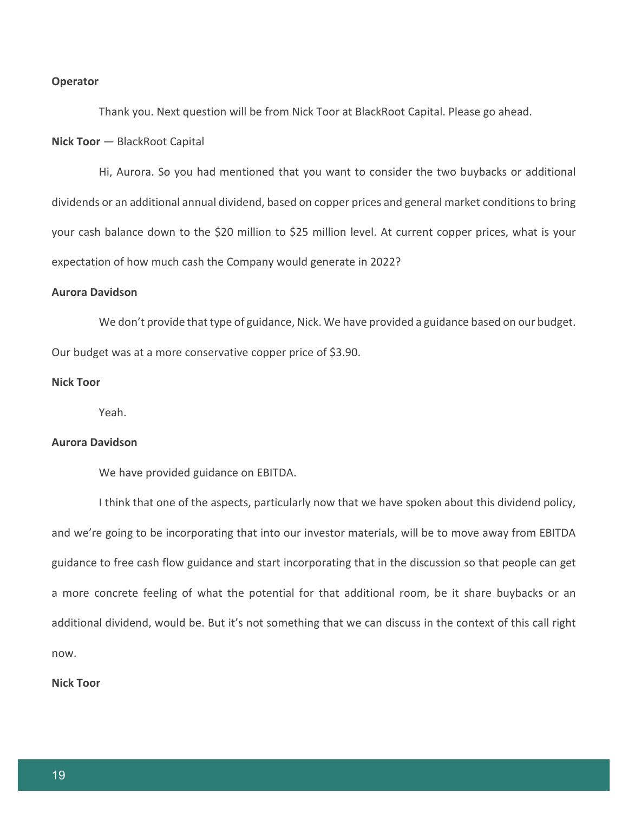#### **Operator**

Thank you. Next question will be from Nick Toor at BlackRoot Capital. Please go ahead.

**Nick Toor** — BlackRoot Capital

Hi, Aurora. So you had mentioned that you want to consider the two buybacks or additional dividends or an additional annual dividend, based on copper prices and general market conditions to bring your cash balance down to the \$20 million to \$25 million level. At current copper prices, what is your expectation of how much cash the Company would generate in 2022?

## **Aurora Davidson**

We don't provide that type of guidance, Nick. We have provided a guidance based on our budget. Our budget was at a more conservative copper price of \$3.90.

#### **Nick Toor**

Yeah.

## **Aurora Davidson**

We have provided guidance on EBITDA.

I think that one of the aspects, particularly now that we have spoken about this dividend policy, and we're going to be incorporating that into our investor materials, will be to move away from EBITDA guidance to free cash flow guidance and start incorporating that in the discussion so that people can get a more concrete feeling of what the potential for that additional room, be it share buybacks or an additional dividend, would be. But it's not something that we can discuss in the context of this call right now.

#### **Nick Toor**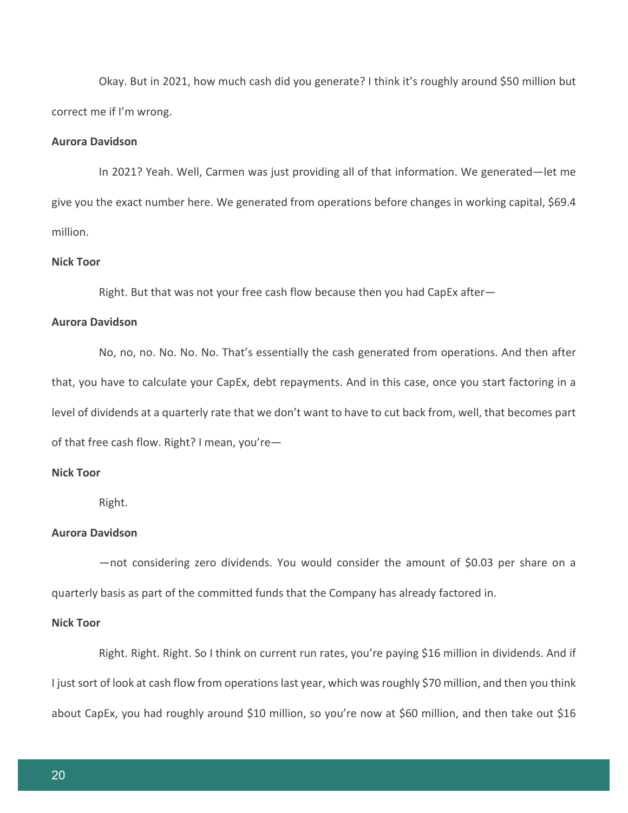Okay. But in 2021, how much cash did you generate? I think it's roughly around \$50 million but correct me if I'm wrong.

## **Aurora Davidson**

In 2021? Yeah. Well, Carmen was just providing all of that information. We generated—let me give you the exact number here. We generated from operations before changes in working capital, \$69.4 million.

## **Nick Toor**

Right. But that was not your free cash flow because then you had CapEx after—

## **Aurora Davidson**

No, no, no. No. No. No. That's essentially the cash generated from operations. And then after that, you have to calculate your CapEx, debt repayments. And in this case, once you start factoring in a level of dividends at a quarterly rate that we don't want to have to cut back from, well, that becomes part of that free cash flow. Right? I mean, you're—

## **Nick Toor**

Right.

## **Aurora Davidson**

—not considering zero dividends. You would consider the amount of \$0.03 per share on a quarterly basis as part of the committed funds that the Company has already factored in.

## **Nick Toor**

Right. Right. Right. So I think on current run rates, you're paying \$16 million in dividends. And if I just sort of look at cash flow from operations last year, which was roughly \$70 million, and then you think about CapEx, you had roughly around \$10 million, so you're now at \$60 million, and then take out \$16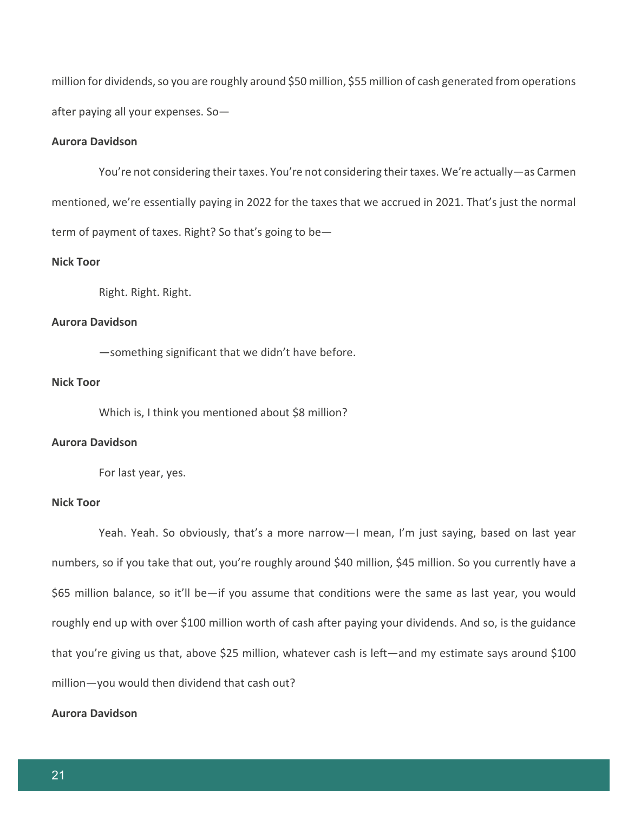million for dividends, so you are roughly around \$50 million, \$55 million of cash generated from operations after paying all your expenses. So—

## **Aurora Davidson**

You're not considering their taxes. You're not considering their taxes. We're actually—as Carmen mentioned, we're essentially paying in 2022 for the taxes that we accrued in 2021. That's just the normal term of payment of taxes. Right? So that's going to be—

#### **Nick Toor**

Right. Right. Right.

## **Aurora Davidson**

—something significant that we didn't have before.

## **Nick Toor**

Which is, I think you mentioned about \$8 million?

## **Aurora Davidson**

For last year, yes.

## **Nick Toor**

Yeah. Yeah. So obviously, that's a more narrow—I mean, I'm just saying, based on last year numbers, so if you take that out, you're roughly around \$40 million, \$45 million. So you currently have a \$65 million balance, so it'll be—if you assume that conditions were the same as last year, you would roughly end up with over \$100 million worth of cash after paying your dividends. And so, is the guidance that you're giving us that, above \$25 million, whatever cash is left—and my estimate says around \$100 million—you would then dividend that cash out?

## **Aurora Davidson**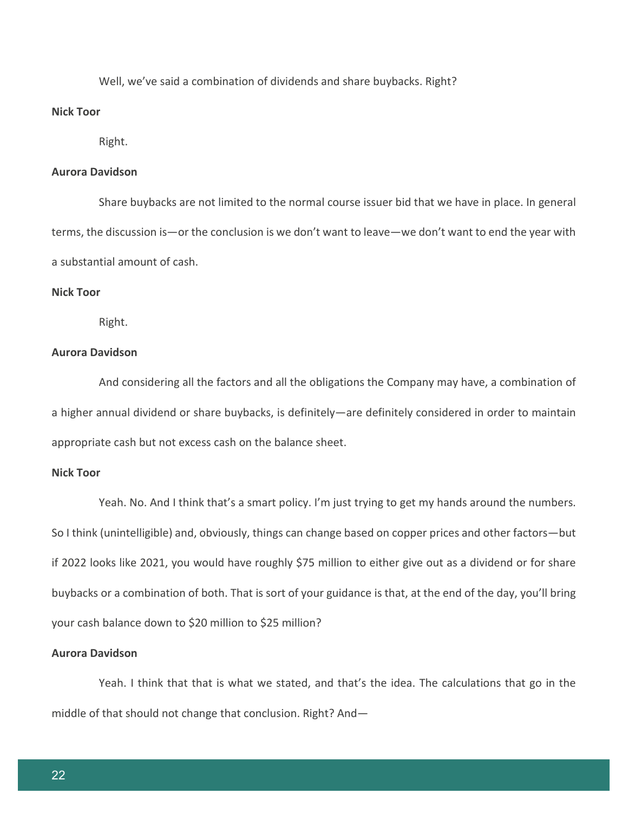Well, we've said a combination of dividends and share buybacks. Right?

### **Nick Toor**

Right.

## **Aurora Davidson**

Share buybacks are not limited to the normal course issuer bid that we have in place. In general terms, the discussion is—or the conclusion is we don't want to leave—we don't want to end the year with a substantial amount of cash.

## **Nick Toor**

Right.

## **Aurora Davidson**

And considering all the factors and all the obligations the Company may have, a combination of a higher annual dividend or share buybacks, is definitely—are definitely considered in order to maintain appropriate cash but not excess cash on the balance sheet.

## **Nick Toor**

Yeah. No. And I think that's a smart policy. I'm just trying to get my hands around the numbers. So I think (unintelligible) and, obviously, things can change based on copper prices and other factors—but if 2022 looks like 2021, you would have roughly \$75 million to either give out as a dividend or for share buybacks or a combination of both. That is sort of your guidance is that, at the end of the day, you'll bring your cash balance down to \$20 million to \$25 million?

## **Aurora Davidson**

Yeah. I think that that is what we stated, and that's the idea. The calculations that go in the middle of that should not change that conclusion. Right? And—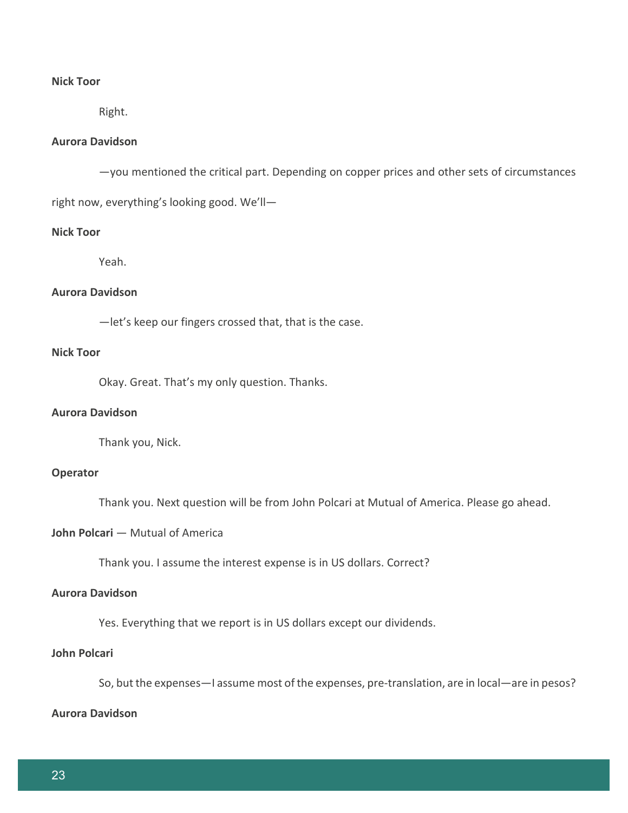## **Nick Toor**

Right.

## **Aurora Davidson**

—you mentioned the critical part. Depending on copper prices and other sets of circumstances

right now, everything's looking good. We'll—

## **Nick Toor**

Yeah.

## **Aurora Davidson**

—let's keep our fingers crossed that, that is the case.

## **Nick Toor**

Okay. Great. That's my only question. Thanks.

## **Aurora Davidson**

Thank you, Nick.

## **Operator**

Thank you. Next question will be from John Polcari at Mutual of America. Please go ahead.

## **John Polcari** — Mutual of America

Thank you. I assume the interest expense is in US dollars. Correct?

## **Aurora Davidson**

Yes. Everything that we report is in US dollars except our dividends.

## **John Polcari**

So, but the expenses—I assume most of the expenses, pre-translation, are in local—are in pesos?

## **Aurora Davidson**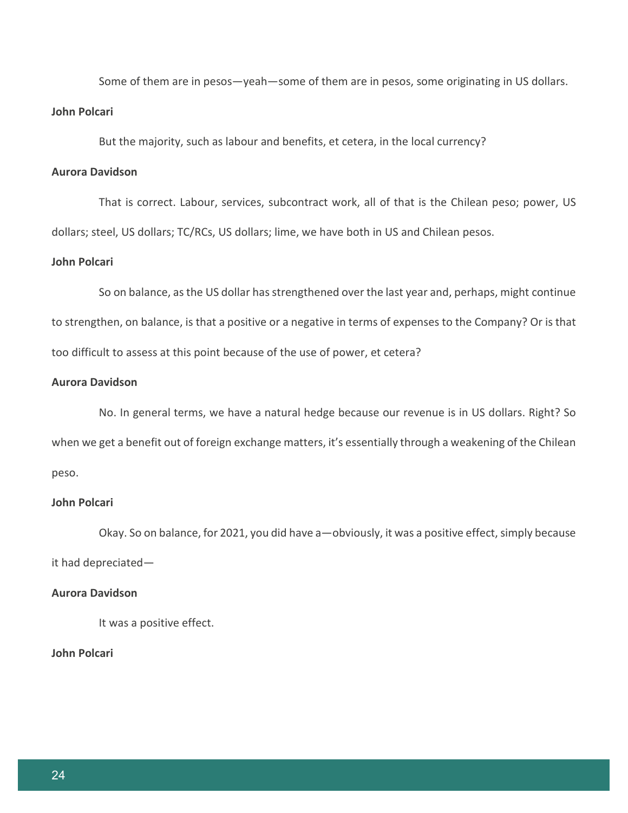Some of them are in pesos—yeah—some of them are in pesos, some originating in US dollars.

## **John Polcari**

But the majority, such as labour and benefits, et cetera, in the local currency?

## **Aurora Davidson**

That is correct. Labour, services, subcontract work, all of that is the Chilean peso; power, US dollars; steel, US dollars; TC/RCs, US dollars; lime, we have both in US and Chilean pesos.

## **John Polcari**

So on balance, as the US dollar has strengthened over the last year and, perhaps, might continue to strengthen, on balance, is that a positive or a negative in terms of expenses to the Company? Or is that too difficult to assess at this point because of the use of power, et cetera?

## **Aurora Davidson**

No. In general terms, we have a natural hedge because our revenue is in US dollars. Right? So when we get a benefit out of foreign exchange matters, it's essentially through a weakening of the Chilean peso.

## **John Polcari**

Okay. So on balance, for 2021, you did have a—obviously, it was a positive effect, simply because it had depreciated—

## **Aurora Davidson**

It was a positive effect.

## **John Polcari**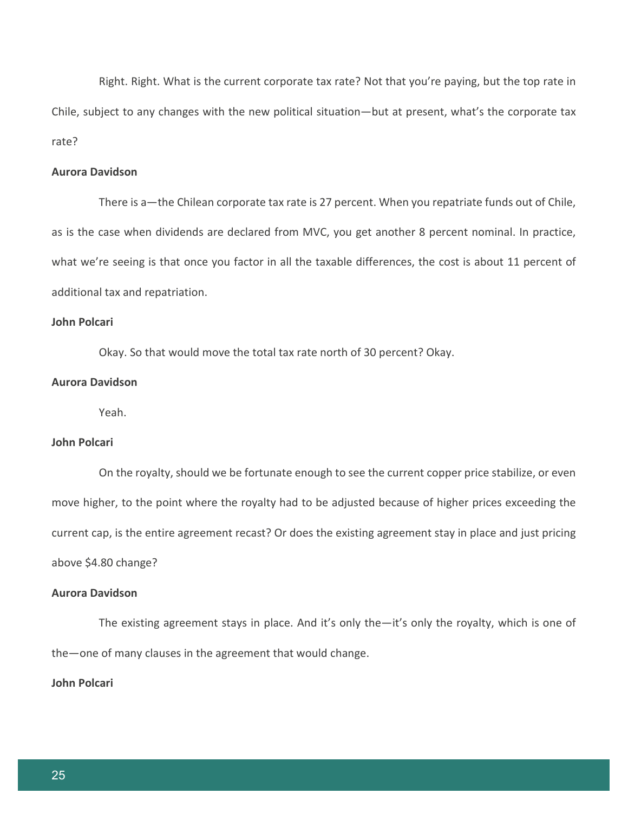Right. Right. What is the current corporate tax rate? Not that you're paying, but the top rate in Chile, subject to any changes with the new political situation—but at present, what's the corporate tax rate?

## **Aurora Davidson**

There is a—the Chilean corporate tax rate is 27 percent. When you repatriate funds out of Chile, as is the case when dividends are declared from MVC, you get another 8 percent nominal. In practice, what we're seeing is that once you factor in all the taxable differences, the cost is about 11 percent of additional tax and repatriation.

## **John Polcari**

Okay. So that would move the total tax rate north of 30 percent? Okay.

#### **Aurora Davidson**

Yeah.

## **John Polcari**

On the royalty, should we be fortunate enough to see the current copper price stabilize, or even move higher, to the point where the royalty had to be adjusted because of higher prices exceeding the current cap, is the entire agreement recast? Or does the existing agreement stay in place and just pricing above \$4.80 change?

## **Aurora Davidson**

The existing agreement stays in place. And it's only the—it's only the royalty, which is one of the—one of many clauses in the agreement that would change.

### **John Polcari**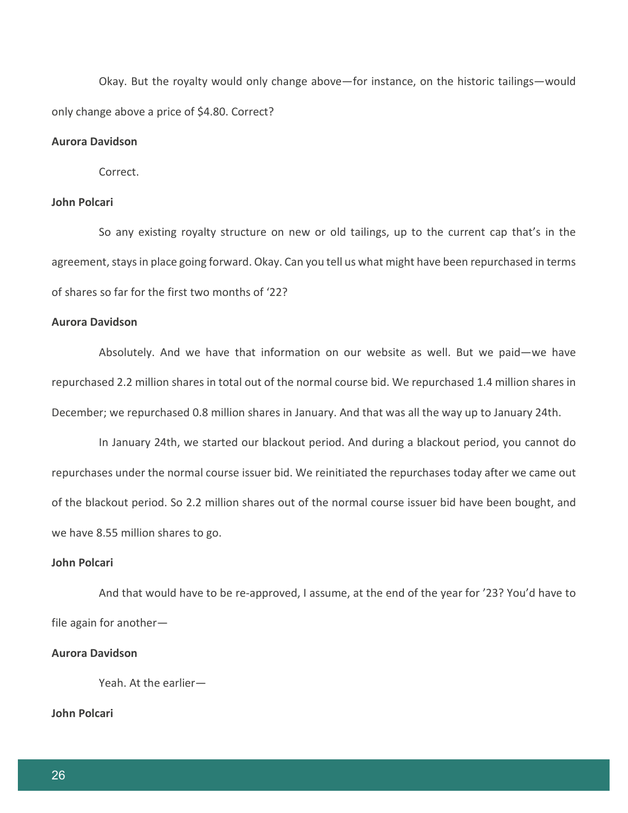Okay. But the royalty would only change above—for instance, on the historic tailings—would only change above a price of \$4.80. Correct?

## **Aurora Davidson**

Correct.

## **John Polcari**

So any existing royalty structure on new or old tailings, up to the current cap that's in the agreement, stays in place going forward. Okay. Can you tell us what might have been repurchased in terms of shares so far for the first two months of '22?

## **Aurora Davidson**

Absolutely. And we have that information on our website as well. But we paid—we have repurchased 2.2 million shares in total out of the normal course bid. We repurchased 1.4 million shares in December; we repurchased 0.8 million shares in January. And that was all the way up to January 24th.

In January 24th, we started our blackout period. And during a blackout period, you cannot do repurchases under the normal course issuer bid. We reinitiated the repurchases today after we came out of the blackout period. So 2.2 million shares out of the normal course issuer bid have been bought, and we have 8.55 million shares to go.

## **John Polcari**

And that would have to be re-approved, I assume, at the end of the year for '23? You'd have to file again for another—

#### **Aurora Davidson**

Yeah. At the earlier—

## **John Polcari**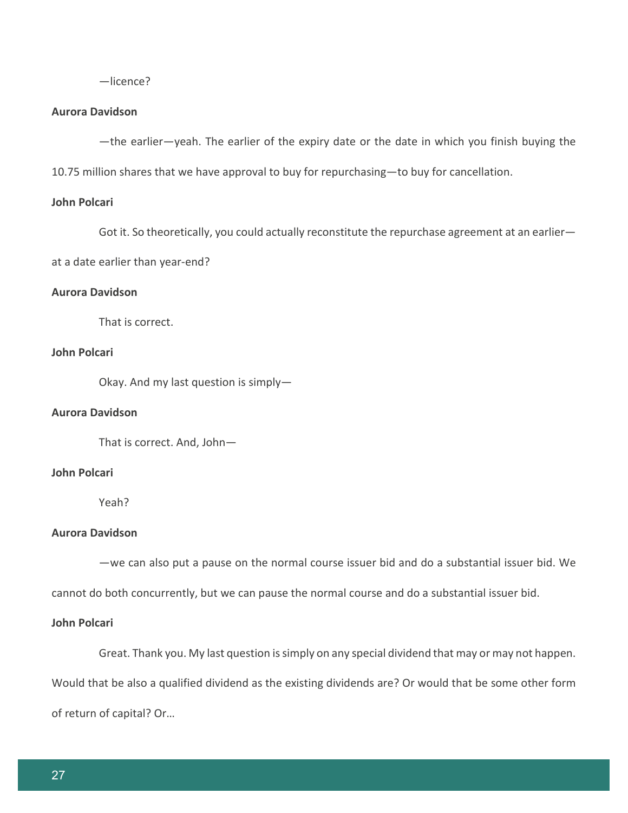—licence?

## **Aurora Davidson**

—the earlier—yeah. The earlier of the expiry date or the date in which you finish buying the

10.75 million shares that we have approval to buy for repurchasing—to buy for cancellation.

## **John Polcari**

Got it. So theoretically, you could actually reconstitute the repurchase agreement at an earlier—

at a date earlier than year-end?

#### **Aurora Davidson**

That is correct.

## **John Polcari**

Okay. And my last question is simply—

## **Aurora Davidson**

That is correct. And, John—

#### **John Polcari**

Yeah?

## **Aurora Davidson**

—we can also put a pause on the normal course issuer bid and do a substantial issuer bid. We

cannot do both concurrently, but we can pause the normal course and do a substantial issuer bid.

## **John Polcari**

Great. Thank you. My last question is simply on any special dividend that may or may not happen. Would that be also a qualified dividend as the existing dividends are? Or would that be some other form of return of capital? Or…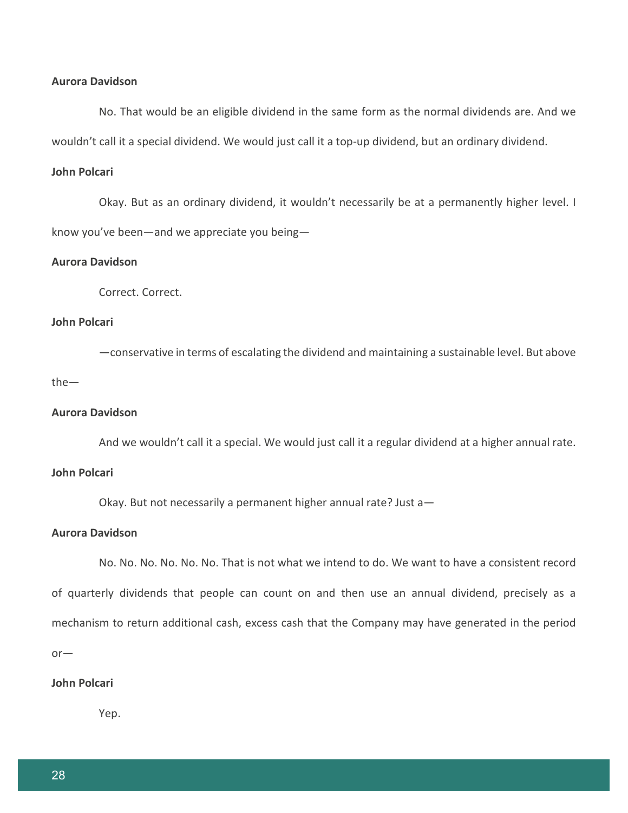## **Aurora Davidson**

No. That would be an eligible dividend in the same form as the normal dividends are. And we wouldn't call it a special dividend. We would just call it a top-up dividend, but an ordinary dividend.

#### **John Polcari**

Okay. But as an ordinary dividend, it wouldn't necessarily be at a permanently higher level. I know you've been—and we appreciate you being—

#### **Aurora Davidson**

Correct. Correct.

## **John Polcari**

—conservative in terms of escalating the dividend and maintaining a sustainable level. But above the—

## **Aurora Davidson**

And we wouldn't call it a special. We would just call it a regular dividend at a higher annual rate.

## **John Polcari**

Okay. But not necessarily a permanent higher annual rate? Just a—

## **Aurora Davidson**

No. No. No. No. No. No. That is not what we intend to do. We want to have a consistent record of quarterly dividends that people can count on and then use an annual dividend, precisely as a mechanism to return additional cash, excess cash that the Company may have generated in the period or—

### **John Polcari**

Yep.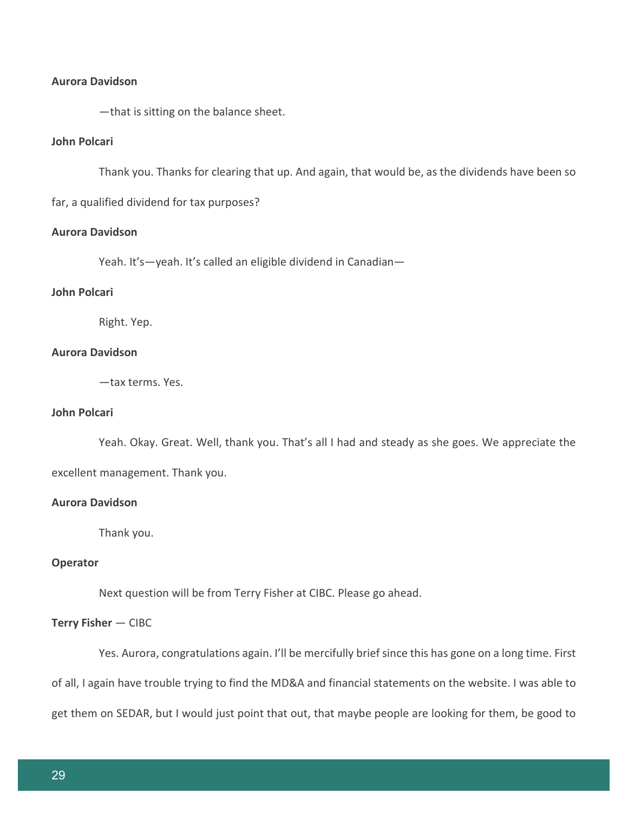## **Aurora Davidson**

—that is sitting on the balance sheet.

## **John Polcari**

Thank you. Thanks for clearing that up. And again, that would be, as the dividends have been so

far, a qualified dividend for tax purposes?

## **Aurora Davidson**

Yeah. It's—yeah. It's called an eligible dividend in Canadian—

## **John Polcari**

Right. Yep.

## **Aurora Davidson**

—tax terms. Yes.

## **John Polcari**

Yeah. Okay. Great. Well, thank you. That's all I had and steady as she goes. We appreciate the excellent management. Thank you.

## **Aurora Davidson**

Thank you.

## **Operator**

Next question will be from Terry Fisher at CIBC. Please go ahead.

## **Terry Fisher** — CIBC

Yes. Aurora, congratulations again. I'll be mercifully brief since this has gone on a long time. First of all, I again have trouble trying to find the MD&A and financial statements on the website. I was able to get them on SEDAR, but I would just point that out, that maybe people are looking for them, be good to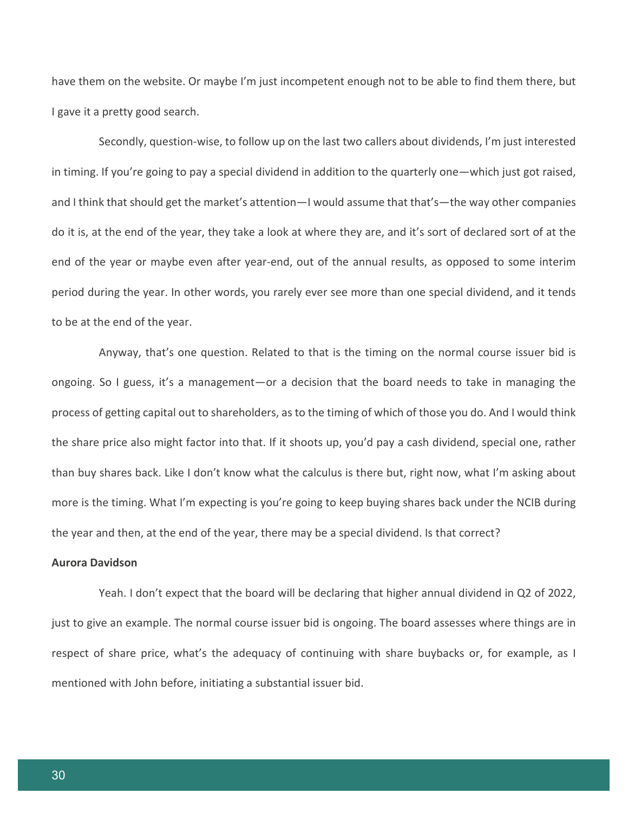have them on the website. Or maybe I'm just incompetent enough not to be able to find them there, but I gave it a pretty good search.

Secondly, question-wise, to follow up on the last two callers about dividends, I'm just interested in timing. If you're going to pay a special dividend in addition to the quarterly one—which just got raised, and I think that should get the market's attention—I would assume that that's—the way other companies do it is, at the end of the year, they take a look at where they are, and it's sort of declared sort of at the end of the year or maybe even after year-end, out of the annual results, as opposed to some interim period during the year. In other words, you rarely ever see more than one special dividend, and it tends to be at the end of the year.

Anyway, that's one question. Related to that is the timing on the normal course issuer bid is ongoing. So I guess, it's a management—or a decision that the board needs to take in managing the process of getting capital out to shareholders, as to the timing of which of those you do. And I would think the share price also might factor into that. If it shoots up, you'd pay a cash dividend, special one, rather than buy shares back. Like I don't know what the calculus is there but, right now, what I'm asking about more is the timing. What I'm expecting is you're going to keep buying shares back under the NCIB during the year and then, at the end of the year, there may be a special dividend. Is that correct?

## **Aurora Davidson**

Yeah. I don't expect that the board will be declaring that higher annual dividend in Q2 of 2022, just to give an example. The normal course issuer bid is ongoing. The board assesses where things are in respect of share price, what's the adequacy of continuing with share buybacks or, for example, as I mentioned with John before, initiating a substantial issuer bid.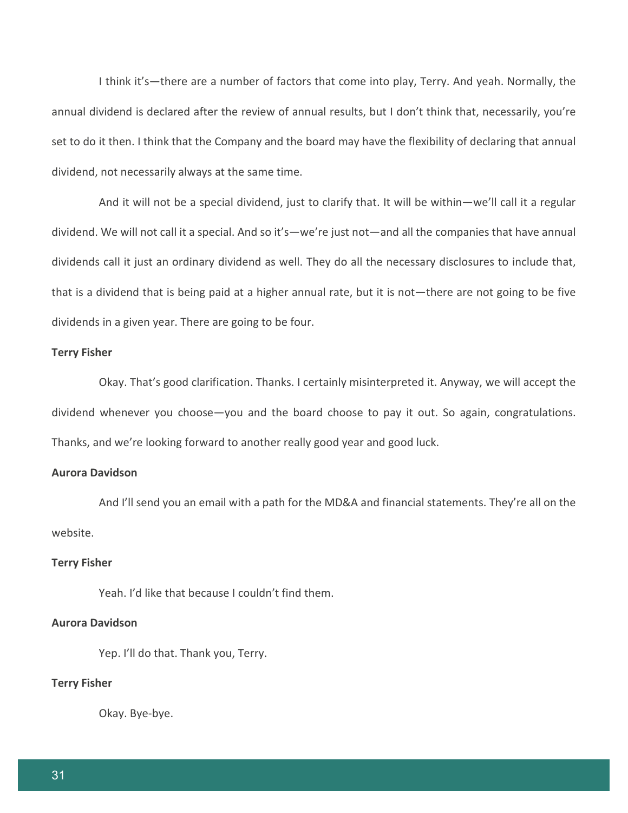I think it's—there are a number of factors that come into play, Terry. And yeah. Normally, the annual dividend is declared after the review of annual results, but I don't think that, necessarily, you're set to do it then. I think that the Company and the board may have the flexibility of declaring that annual dividend, not necessarily always at the same time.

And it will not be a special dividend, just to clarify that. It will be within—we'll call it a regular dividend. We will not call it a special. And so it's—we're just not—and all the companies that have annual dividends call it just an ordinary dividend as well. They do all the necessary disclosures to include that, that is a dividend that is being paid at a higher annual rate, but it is not—there are not going to be five dividends in a given year. There are going to be four.

#### **Terry Fisher**

Okay. That's good clarification. Thanks. I certainly misinterpreted it. Anyway, we will accept the dividend whenever you choose—you and the board choose to pay it out. So again, congratulations. Thanks, and we're looking forward to another really good year and good luck.

#### **Aurora Davidson**

And I'll send you an email with a path for the MD&A and financial statements. They're all on the website.

#### **Terry Fisher**

Yeah. I'd like that because I couldn't find them.

## **Aurora Davidson**

Yep. I'll do that. Thank you, Terry.

#### **Terry Fisher**

Okay. Bye-bye.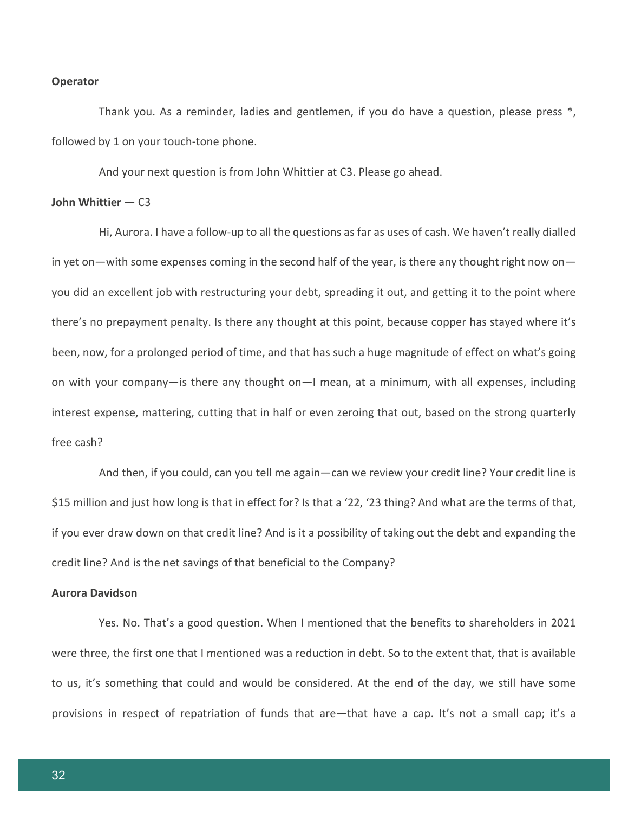#### **Operator**

Thank you. As a reminder, ladies and gentlemen, if you do have a question, please press \*, followed by 1 on your touch-tone phone.

And your next question is from John Whittier at C3. Please go ahead.

## **John Whittier** — C3

Hi, Aurora. I have a follow-up to all the questions as far as uses of cash. We haven't really dialled in yet on—with some expenses coming in the second half of the year, is there any thought right now on you did an excellent job with restructuring your debt, spreading it out, and getting it to the point where there's no prepayment penalty. Is there any thought at this point, because copper has stayed where it's been, now, for a prolonged period of time, and that has such a huge magnitude of effect on what's going on with your company—is there any thought on—I mean, at a minimum, with all expenses, including interest expense, mattering, cutting that in half or even zeroing that out, based on the strong quarterly free cash?

And then, if you could, can you tell me again—can we review your credit line? Your credit line is \$15 million and just how long is that in effect for? Is that a '22, '23 thing? And what are the terms of that, if you ever draw down on that credit line? And is it a possibility of taking out the debt and expanding the credit line? And is the net savings of that beneficial to the Company?

## **Aurora Davidson**

Yes. No. That's a good question. When I mentioned that the benefits to shareholders in 2021 were three, the first one that I mentioned was a reduction in debt. So to the extent that, that is available to us, it's something that could and would be considered. At the end of the day, we still have some provisions in respect of repatriation of funds that are—that have a cap. It's not a small cap; it's a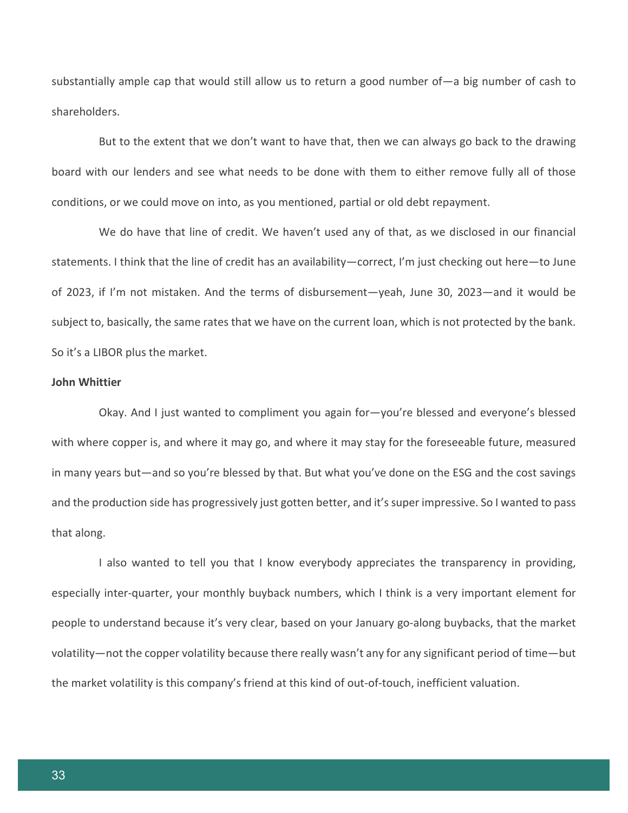substantially ample cap that would still allow us to return a good number of—a big number of cash to shareholders.

But to the extent that we don't want to have that, then we can always go back to the drawing board with our lenders and see what needs to be done with them to either remove fully all of those conditions, or we could move on into, as you mentioned, partial or old debt repayment.

We do have that line of credit. We haven't used any of that, as we disclosed in our financial statements. I think that the line of credit has an availability—correct, I'm just checking out here—to June of 2023, if I'm not mistaken. And the terms of disbursement—yeah, June 30, 2023—and it would be subject to, basically, the same rates that we have on the current loan, which is not protected by the bank. So it's a LIBOR plus the market.

## **John Whittier**

Okay. And I just wanted to compliment you again for—you're blessed and everyone's blessed with where copper is, and where it may go, and where it may stay for the foreseeable future, measured in many years but—and so you're blessed by that. But what you've done on the ESG and the cost savings and the production side has progressively just gotten better, and it's super impressive. So I wanted to pass that along.

I also wanted to tell you that I know everybody appreciates the transparency in providing, especially inter-quarter, your monthly buyback numbers, which I think is a very important element for people to understand because it's very clear, based on your January go-along buybacks, that the market volatility—not the copper volatility because there really wasn't any for any significant period of time—but the market volatility is this company's friend at this kind of out-of-touch, inefficient valuation.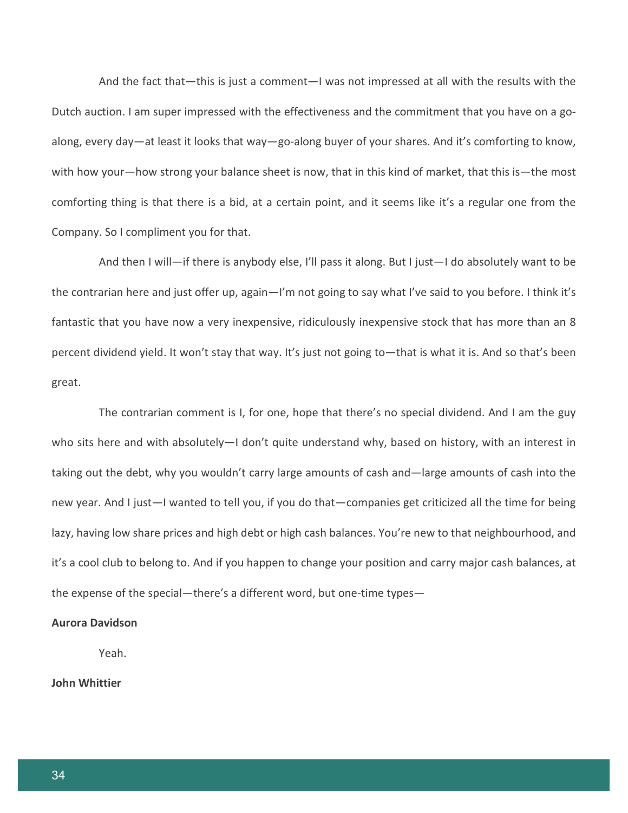And the fact that—this is just a comment—I was not impressed at all with the results with the Dutch auction. I am super impressed with the effectiveness and the commitment that you have on a goalong, every day—at least it looks that way—go-along buyer of your shares. And it's comforting to know, with how your—how strong your balance sheet is now, that in this kind of market, that this is—the most comforting thing is that there is a bid, at a certain point, and it seems like it's a regular one from the Company. So I compliment you for that.

And then I will—if there is anybody else, I'll pass it along. But I just—I do absolutely want to be the contrarian here and just offer up, again—I'm not going to say what I've said to you before. I think it's fantastic that you have now a very inexpensive, ridiculously inexpensive stock that has more than an 8 percent dividend yield. It won't stay that way. It's just not going to—that is what it is. And so that's been great.

The contrarian comment is I, for one, hope that there's no special dividend. And I am the guy who sits here and with absolutely—I don't quite understand why, based on history, with an interest in taking out the debt, why you wouldn't carry large amounts of cash and—large amounts of cash into the new year. And I just—I wanted to tell you, if you do that—companies get criticized all the time for being lazy, having low share prices and high debt or high cash balances. You're new to that neighbourhood, and it's a cool club to belong to. And if you happen to change your position and carry major cash balances, at the expense of the special—there's a different word, but one-time types—

## **Aurora Davidson**

Yeah.

#### **John Whittier**